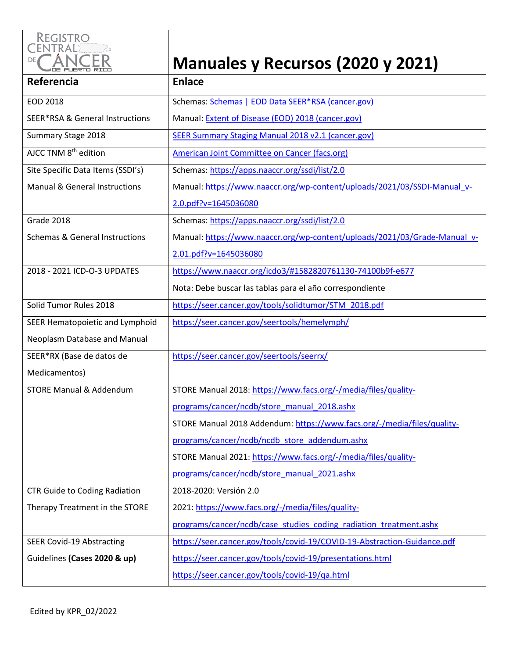

## **Manuales y Recursos (2020 y 2021)**

| Referencia                                 | <b>Enlace</b>                                                             |
|--------------------------------------------|---------------------------------------------------------------------------|
| EOD 2018                                   | Schemas: Schemas   EOD Data SEER*RSA (cancer.gov)                         |
| <b>SEER*RSA &amp; General Instructions</b> | Manual: Extent of Disease (EOD) 2018 (cancer.gov)                         |
| Summary Stage 2018                         | <b>SEER Summary Staging Manual 2018 v2.1 (cancer.gov)</b>                 |
| AJCC TNM 8 <sup>th</sup> edition           | American Joint Committee on Cancer (facs.org)                             |
| Site Specific Data Items (SSDI's)          | Schemas: https://apps.naaccr.org/ssdi/list/2.0                            |
| <b>Manual &amp; General Instructions</b>   | Manual: https://www.naaccr.org/wp-content/uploads/2021/03/SSDI-Manual v-  |
|                                            | 2.0.pdf?v=1645036080                                                      |
| Grade 2018                                 | Schemas: https://apps.naaccr.org/ssdi/list/2.0                            |
| <b>Schemas &amp; General Instructions</b>  | Manual: https://www.naaccr.org/wp-content/uploads/2021/03/Grade-Manual v- |
|                                            | 2.01.pdf?v=1645036080                                                     |
| 2018 - 2021 ICD-O-3 UPDATES                | https://www.naaccr.org/icdo3/#1582820761130-74100b9f-e677                 |
|                                            | Nota: Debe buscar las tablas para el año correspondiente                  |
| Solid Tumor Rules 2018                     | https://seer.cancer.gov/tools/solidtumor/STM 2018.pdf                     |
| SEER Hematopoietic and Lymphoid            | https://seer.cancer.gov/seertools/hemelymph/                              |
| Neoplasm Database and Manual               |                                                                           |
| SEER*RX (Base de datos de                  | https://seer.cancer.gov/seertools/seerrx/                                 |
| Medicamentos)                              |                                                                           |
| <b>STORE Manual &amp; Addendum</b>         | STORE Manual 2018: https://www.facs.org/-/media/files/quality-            |
|                                            | programs/cancer/ncdb/store manual 2018.ashx                               |
|                                            | STORE Manual 2018 Addendum: https://www.facs.org/-/media/files/quality-   |
|                                            | programs/cancer/ncdb/ncdb store addendum.ashx                             |
|                                            | STORE Manual 2021: https://www.facs.org/-/media/files/quality-            |
|                                            | programs/cancer/ncdb/store manual 2021.ashx                               |
| <b>CTR Guide to Coding Radiation</b>       | 2018-2020: Versión 2.0                                                    |
| Therapy Treatment in the STORE             | 2021: https://www.facs.org/-/media/files/quality-                         |
|                                            | programs/cancer/ncdb/case_studies_coding_radiation_treatment.ashx         |
| <b>SEER Covid-19 Abstracting</b>           | https://seer.cancer.gov/tools/covid-19/COVID-19-Abstraction-Guidance.pdf  |
| Guidelines (Cases 2020 & up)               | https://seer.cancer.gov/tools/covid-19/presentations.html                 |
|                                            | https://seer.cancer.gov/tools/covid-19/qa.html                            |